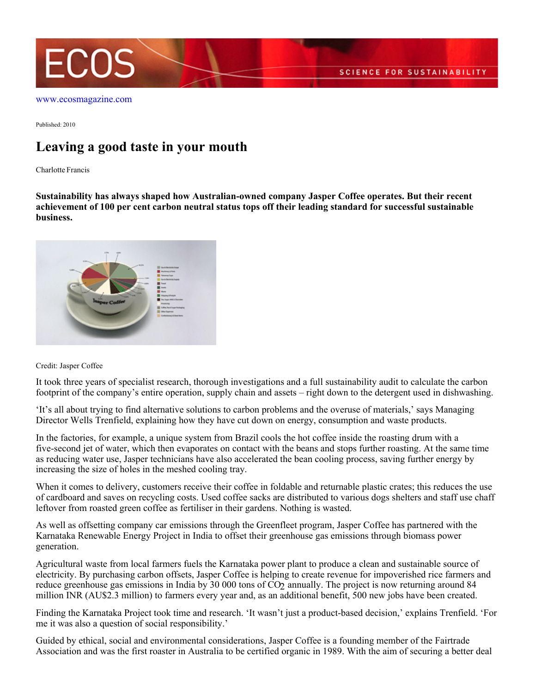

[www.ecosmagazine.com](http://www.ecosmagazine.com)

Published: 2010

## **Leaving a good taste in your mouth**

Charlotte Francis

**Sustainability has always shaped how Australian-owned company Jasper Coffee operates. But their recent achievement of 100 per cent carbon neutral status tops off their leading standard for successful sustainable business.**



## Credit: Jasper Coffee

It took three years of specialist research, thorough investigations and a full sustainability audit to calculate the carbon footprint of the company's entire operation, supply chain and assets – right down to the detergent used in dishwashing.

'It's all about trying to find alternative solutions to carbon problems and the overuse of materials,' says Managing Director Wells Trenfield, explaining how they have cut down on energy, consumption and waste products.

In the factories, for example, a unique system from Brazil cools the hot coffee inside the roasting drum with a five-second jet of water, which then evaporates on contact with the beans and stops further roasting. At the same time as reducing water use, Jasper technicians have also accelerated the bean cooling process, saving further energy by increasing the size of holes in the meshed cooling tray.

When it comes to delivery, customers receive their coffee in foldable and returnable plastic crates; this reduces the use of cardboard and saves on recycling costs. Used coffee sacks are distributed to various dogs shelters and staff use chaff leftover from roasted green coffee as fertiliser in their gardens. Nothing is wasted.

As well as offsetting company car emissions through the Greenfleet program, Jasper Coffee has partnered with the Karnataka Renewable Energy Project in India to offset their greenhouse gas emissions through biomass power generation.

Agricultural waste from local farmers fuels the Karnataka power plant to produce a clean and sustainable source of electricity. By purchasing carbon offsets, Jasper Coffee is helping to create revenue for impoverished rice farmers and reduce greenhouse gas emissions in India by 30 000 tons of  $CO<sub>2</sub>$  annually. The project is now returning around 84 million INR (AU\$2.3 million) to farmers every year and, as an additional benefit, 500 new jobs have been created.

Finding the Karnataka Project took time and research. 'It wasn't just a product-based decision,' explains Trenfield. 'For me it was also a question of social responsibility.'

Guided by ethical, social and environmental considerations, Jasper Coffee is a founding member of the Fairtrade Association and was the first roaster in Australia to be certified organic in 1989. With the aim of securing a better deal